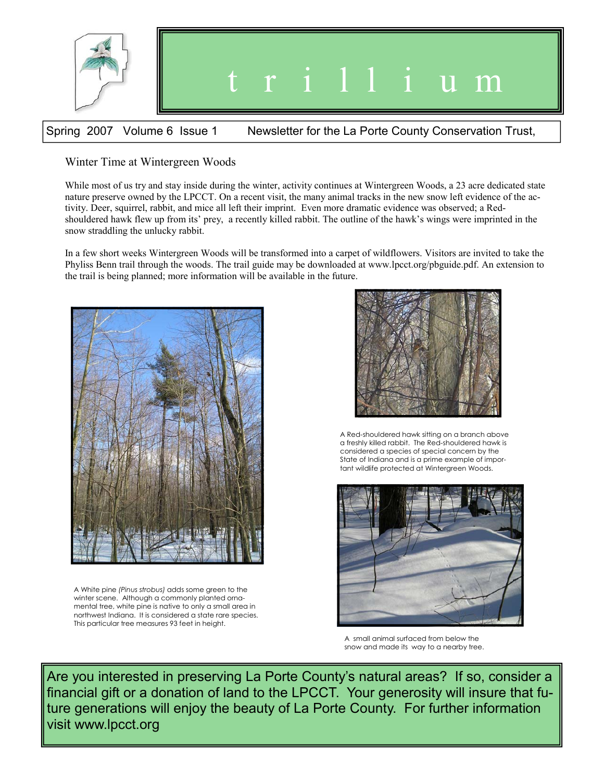

# Spring 2007 Volume 6 Issue 1 Newsletter for the La Porte County Conservation Trust,

## Winter Time at Wintergreen Woods

While most of us try and stay inside during the winter, activity continues at Wintergreen Woods, a 23 acre dedicated state nature preserve owned by the LPCCT. On a recent visit, the many animal tracks in the new snow left evidence of the activity. Deer, squirrel, rabbit, and mice all left their imprint. Even more dramatic evidence was observed; a Redshouldered hawk flew up from its' prey, a recently killed rabbit. The outline of the hawk's wings were imprinted in the snow straddling the unlucky rabbit.

In a few short weeks Wintergreen Woods will be transformed into a carpet of wildflowers. Visitors are invited to take the Phyliss Benn trail through the woods. The trail guide may be downloaded at www.lpcct.org/pbguide.pdf. An extension to the trail is being planned; more information will be available in the future.



A White pine *(Pinus strobus)* adds some green to the winter scene. Although a commonly planted ornamental tree, white pine is native to only a small area in northwest Indiana. It is considered a state rare species. This particular tree measures 93 feet in height.



A Red-shouldered hawk sitting on a branch above a freshly killed rabbit. The Red-shouldered hawk is considered a species of special concern by the State of Indiana and is a prime example of important wildlife protected at Wintergreen Woods.



A small animal surfaced from below the snow and made its way to a nearby tree.

Are you interested in preserving La Porte County's natural areas? If so, consider a financial gift or a donation of land to the LPCCT. Your generosity will insure that future generations will enjoy the beauty of La Porte County. For further information visit www.lpcct.org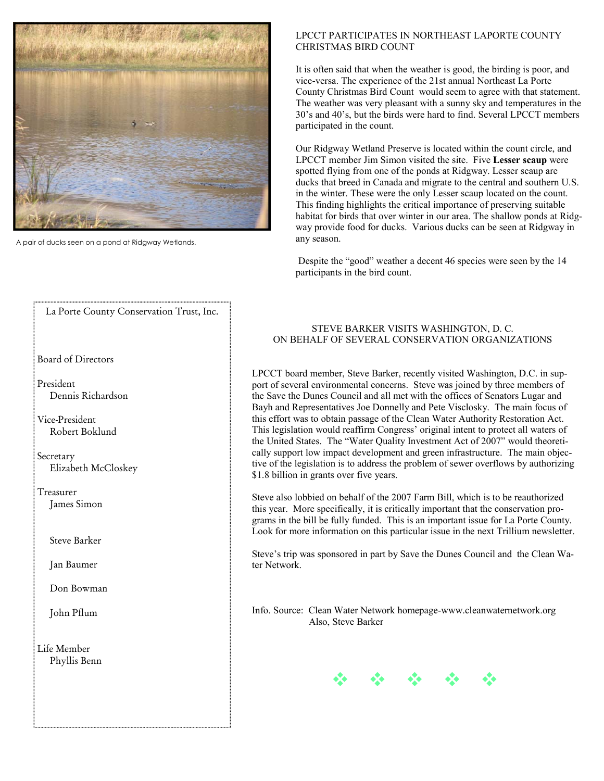

A pair of ducks seen on a pond at Ridgway Wetlands.

### LPCCT PARTICIPATES IN NORTHEAST LAPORTE COUNTY CHRISTMAS BIRD COUNT

It is often said that when the weather is good, the birding is poor, and vice-versa. The experience of the 21st annual Northeast La Porte County Christmas Bird Count would seem to agree with that statement. The weather was very pleasant with a sunny sky and temperatures in the 30's and 40's, but the birds were hard to find. Several LPCCT members participated in the count.

Our Ridgway Wetland Preserve is located within the count circle, and LPCCT member Jim Simon visited the site. Five **Lesser scaup** were spotted flying from one of the ponds at Ridgway. Lesser scaup are ducks that breed in Canada and migrate to the central and southern U.S. in the winter. These were the only Lesser scaup located on the count. This finding highlights the critical importance of preserving suitable habitat for birds that over winter in our area. The shallow ponds at Ridgway provide food for ducks. Various ducks can be seen at Ridgway in any season.

 Despite the "good" weather a decent 46 species were seen by the 14 participants in the bird count.

### STEVE BARKER VISITS WASHINGTON, D. C. ON BEHALF OF SEVERAL CONSERVATION ORGANIZATIONS

LPCCT board member, Steve Barker, recently visited Washington, D.C. in support of several environmental concerns. Steve was joined by three members of the Save the Dunes Council and all met with the offices of Senators Lugar and Bayh and Representatives Joe Donnelly and Pete Visclosky. The main focus of this effort was to obtain passage of the Clean Water Authority Restoration Act. This legislation would reaffirm Congress' original intent to protect all waters of the United States. The "Water Quality Investment Act of 2007" would theoretically support low impact development and green infrastructure. The main objective of the legislation is to address the problem of sewer overflows by authorizing \$1.8 billion in grants over five years.

Steve also lobbied on behalf of the 2007 Farm Bill, which is to be reauthorized this year. More specifically, it is critically important that the conservation programs in the bill be fully funded. This is an important issue for La Porte County. Look for more information on this particular issue in the next Trillium newsletter.

Steve's trip was sponsored in part by Save the Dunes Council and the Clean Water Network.

Info. Source: Clean Water Network homepage-www.cleanwaternetwork.org Also, Steve Barker



### La Porte County Conservation Trust, Inc.

Board of Directors

President Dennis Richardson

Vice-President Robert Boklund

Secretary Elizabeth McCloskey

Treasurer James Simon

Steve Barker

Jan Baumer

Don Bowman

John Pflum

Life Member Phyllis Benn